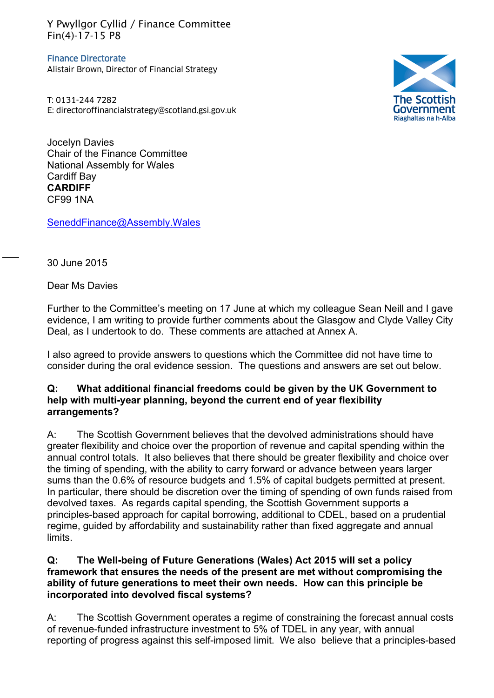Y Pwyllgor Cyllid / Finance Committee Fin(4)-17-15 P8

**Finance Directorate** Alistair Brown, Director of Financial Strategy

T: 0131-244 7282 E: directoroffinancialstrategy@scotland.gsi.gov.uk



Jocelyn Davies Chair of the Finance Committee National Assembly for Wales Cardiff Bay **CARDIFF** CF99 1NA

[SeneddFinance@Assembly.Wales](mailto:SeneddFinance@assembly.wales)

30 June 2015

 $\overline{\phantom{a}}$ 

Dear Ms Davies

r under to the Committee's meeting on 17 June at which my colleague Sean Neill and I gave<br>evidence, I am writing to provide further comments about the Glasgow and Clyde Valley City Further to the Committee's meeting on 17 June at which my colleague Sean Neill and I gave Deal, as I undertook to do. These comments are attached at Annex A.

I also agreed to provide answers to questions which the Committee did not have time to consider during the oral evidence session. The questions and answers are set out below.

## **Q: What additional financial freedoms could be given by the UK Government to help with multi-year planning, beyond the current end of year flexibility arrangements?**

A: The Scottish Government believes that the devolved administrations should have greater flexibility and choice over the proportion of revenue and capital spending within the annual control totals. It also believes that there should be greater flexibility and choice over the timing of spending, with the ability to carry forward or advance between years larger sums than the 0.6% of resource budgets and 1.5% of capital budgets permitted at present. In particular, there should be discretion over the timing of spending of own funds raised from devolved taxes. As regards capital spending, the Scottish Government supports a principles-based approach for capital borrowing, additional to CDEL, based on a prudential regime, guided by affordability and sustainability rather than fixed aggregate and annual limits.

# **Q: The Well-being of Future Generations (Wales) Act 2015 will set a policy framework that ensures the needs of the present are met without compromising the ability of future generations to meet their own needs. How can this principle be incorporated into devolved fiscal systems?**

A: The Scottish Government operates a regime of constraining the forecast annual costs of revenue-funded infrastructure investment to 5% of TDEL in any year, with annual reporting of progress against this self-imposed limit. We also believe that a principles-based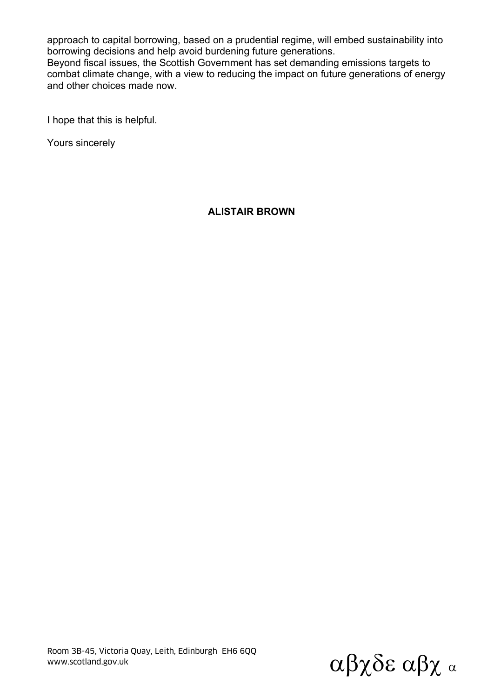approach to capital borrowing, based on a prudential regime, will embed sustainability into borrowing decisions and help avoid burdening future generations.

Beyond fiscal issues, the Scottish Government has set demanding emissions targets to combat climate change, with a view to reducing the impact on future generations of energy and other choices made now.

I hope that this is helpful.

Yours sincerely

# **ALISTAIR BROWN**